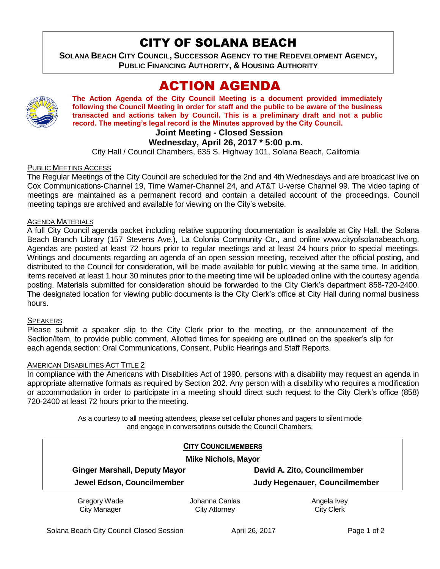# CITY OF SOLANA BEACH

**SOLANA BEACH CITY COUNCIL, SUCCESSOR AGENCY TO THE REDEVELOPMENT AGENCY, PUBLIC FINANCING AUTHORITY, & HOUSING AUTHORITY** 

# ACTION AGENDA



**The Action Agenda of the City Council Meeting is a document provided immediately following the Council Meeting in order for staff and the public to be aware of the business transacted and actions taken by Council. This is a preliminary draft and not a public record. The meeting's legal record is the Minutes approved by the City Council.**

# **Joint Meeting - Closed Session**

# **Wednesday, April 26, 2017 \* 5:00 p.m.**

City Hall / Council Chambers, 635 S. Highway 101, Solana Beach, California

## PUBLIC MEETING ACCESS

The Regular Meetings of the City Council are scheduled for the 2nd and 4th Wednesdays and are broadcast live on Cox Communications-Channel 19, Time Warner-Channel 24, and AT&T U-verse Channel 99. The video taping of meetings are maintained as a permanent record and contain a detailed account of the proceedings. Council meeting tapings are archived and available for viewing on the City's website.

## AGENDA MATERIALS

A full City Council agenda packet including relative supporting documentation is available at City Hall, the Solana Beach Branch Library (157 Stevens Ave.), La Colonia Community Ctr., and online www.cityofsolanabeach.org. Agendas are posted at least 72 hours prior to regular meetings and at least 24 hours prior to special meetings. Writings and documents regarding an agenda of an open session meeting, received after the official posting, and distributed to the Council for consideration, will be made available for public viewing at the same time. In addition, items received at least 1 hour 30 minutes prior to the meeting time will be uploaded online with the courtesy agenda posting. Materials submitted for consideration should be forwarded to the City Clerk's department 858-720-2400. The designated location for viewing public documents is the City Clerk's office at City Hall during normal business hours.

## **SPEAKERS**

Please submit a speaker slip to the City Clerk prior to the meeting, or the announcement of the Section/Item, to provide public comment. Allotted times for speaking are outlined on the speaker's slip for each agenda section: Oral Communications, Consent, Public Hearings and Staff Reports.

## AMERICAN DISABILITIES ACT TITLE 2

In compliance with the Americans with Disabilities Act of 1990, persons with a disability may request an agenda in appropriate alternative formats as required by Section 202. Any person with a disability who requires a modification or accommodation in order to participate in a meeting should direct such request to the City Clerk's office (858) 720-2400 at least 72 hours prior to the meeting.

> As a courtesy to all meeting attendees, please set cellular phones and pagers to silent mode and engage in conversations outside the Council Chambers.

| <b>CITY COUNCILMEMBERS</b><br><b>Mike Nichols, Mayor</b> |                                        |                                  |
|----------------------------------------------------------|----------------------------------------|----------------------------------|
|                                                          |                                        |                                  |
| Jewel Edson, Councilmember                               |                                        | Judy Hegenauer, Councilmember    |
| Gregory Wade<br><b>City Manager</b>                      | Johanna Canlas<br><b>City Attorney</b> | Angela Ivey<br><b>City Clerk</b> |